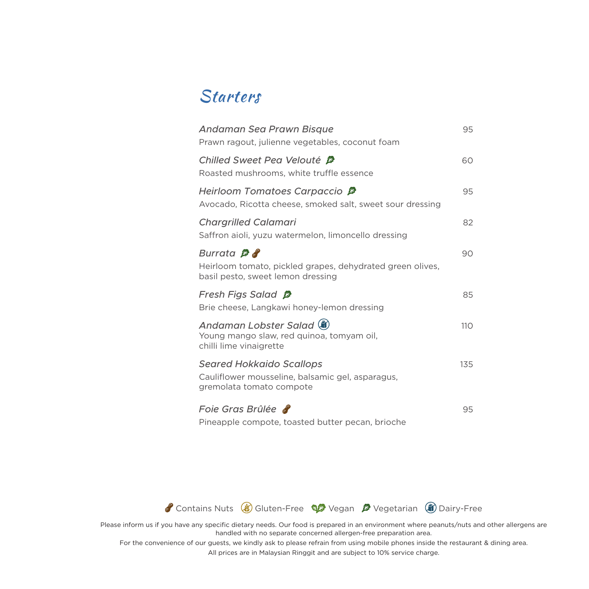# Starters

| Andaman Sea Prawn Bisque<br>Prawn ragout, julienne vegetables, coconut foam                                       | 95  |
|-------------------------------------------------------------------------------------------------------------------|-----|
| Chilled Sweet Pea Velouté <i>§</i><br>Roasted mushrooms, white truffle essence                                    | 60  |
| Heirloom Tomatoes Carpaccio <sup>β</sup><br>Avocado, Ricotta cheese, smoked salt, sweet sour dressing             | 95  |
| <b>Chargrilled Calamari</b><br>Saffron aioli, yuzu watermelon, limoncello dressing                                | 82  |
| Burrata $\beta$<br>Heirloom tomato, pickled grapes, dehydrated green olives,<br>basil pesto, sweet lemon dressing | 90  |
| Fresh Figs Salad <sup>g</sup><br>Brie cheese, Langkawi honey-lemon dressing                                       | 85  |
| Andaman Lobster Salad (ii)<br>Young mango slaw, red guinoa, tomyam oil,<br>chilli lime vinaigrette                | 110 |
| <b>Seared Hokkaido Scallops</b><br>Cauliflower mousseline, balsamic gel, asparagus,<br>gremolata tomato compote   | 135 |
| Foie Gras Brûlée <b>d'</b><br>Pineapple compote, toasted butter pecan, brioche                                    | 95  |



Please inform us if you have any specific dietary needs. Our food is prepared in an environment where peanuts/nuts and other allergens are handled with no separate concerned allergen-free preparation area.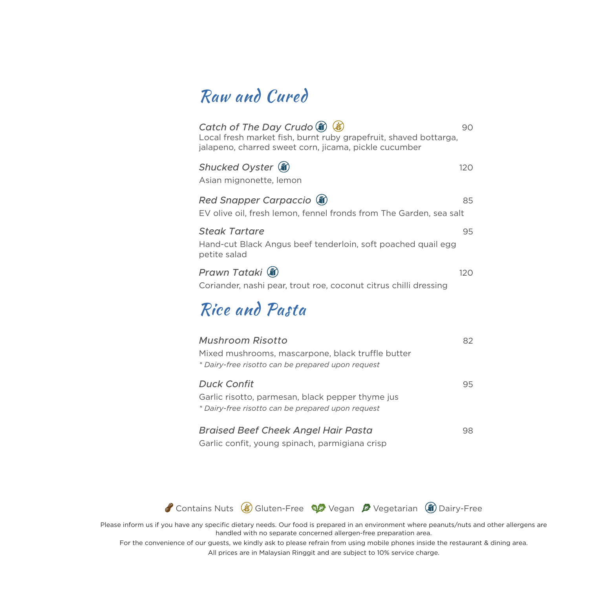# Raw and Cured

| Catch of The Day Crudo (ii) (8)<br>Local fresh market fish, burnt ruby grapefruit, shaved bottarga,<br>jalapeno, charred sweet corn, jicama, pickle cucumber | 90  |
|--------------------------------------------------------------------------------------------------------------------------------------------------------------|-----|
| Shucked Oyster (ii)<br>Asian mignonette, lemon                                                                                                               | 120 |
| Red Snapper Carpaccio (ii)<br>EV olive oil, fresh lemon, fennel fronds from The Garden, sea salt                                                             | 85  |
| <b>Steak Tartare</b><br>Hand-cut Black Angus beef tenderloin, soft poached quail egg<br>petite salad                                                         | 95  |
| Prawn Tataki (â)<br>Coriander, nashi pear, trout roe, coconut citrus chilli dressing                                                                         | 120 |
| Rice and Pasta                                                                                                                                               |     |
| Mushroom Risotto<br>Mixed mushrooms, mascarpone, black truffle butter<br>* Dairy-free risotto can be prepared upon request                                   | 82  |
| <b>Duck Confit</b><br>Garlic risotto, parmesan, black pepper thyme jus<br>* Dairy-free risotto can be prepared upon request                                  | 95  |
|                                                                                                                                                              |     |

*Braised Beef Cheek Angel Hair Pasta* 98 Garlic confit, young spinach, parmigiana crisp



Please inform us if you have any specific dietary needs. Our food is prepared in an environment where peanuts/nuts and other allergens are handled with no separate concerned allergen-free preparation area.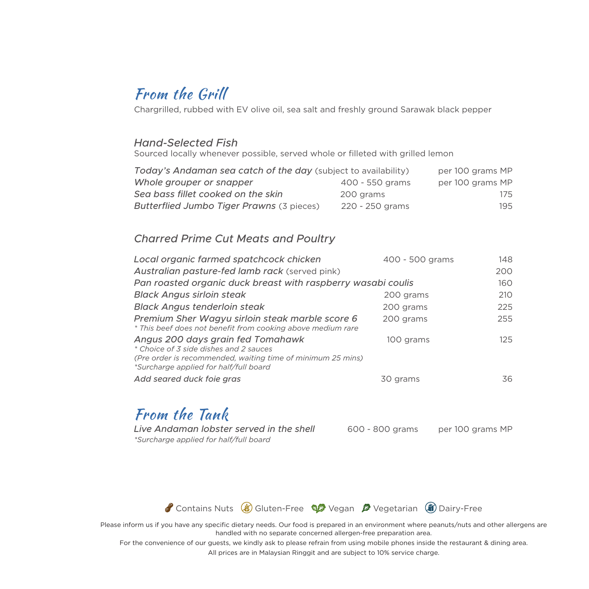# From the Grill

Chargrilled, rubbed with EV olive oil, sea salt and freshly ground Sarawak black pepper

### *Hand-Selected Fish*

Sourced locally whenever possible, served whole or filleted with grilled lemon

| Today's Andaman sea catch of the day (subject to availability) |                 | per 100 grams MP |
|----------------------------------------------------------------|-----------------|------------------|
| Whole grouper or snapper                                       | 400 - 550 grams | per 100 grams MP |
| Sea bass fillet cooked on the skin                             | 200 grams       | 175              |
| Butterflied Jumbo Tiger Prawns (3 pieces)                      | 220 - 250 grams | 195              |

### *Charred Prime Cut Meats and Poultry*

| Local organic farmed spatchcock chicken                                                                                                                                              | 400 - 500 grams | 148  |  |
|--------------------------------------------------------------------------------------------------------------------------------------------------------------------------------------|-----------------|------|--|
| Australian pasture-fed lamb rack (served pink)                                                                                                                                       |                 | 200  |  |
| Pan roasted organic duck breast with raspberry wasabi coulis                                                                                                                         |                 |      |  |
| <b>Black Angus sirloin steak</b>                                                                                                                                                     | 200 grams       | 210  |  |
| <b>Black Angus tenderloin steak</b>                                                                                                                                                  | 200 grams       | 225  |  |
| Premium Sher Wagyu sirloin steak marble score 6<br>* This beef does not benefit from cooking above medium rare                                                                       | 200 grams       | 255  |  |
| Angus 200 days grain fed Tomahawk<br>* Choice of 3 side dishes and 2 sauces<br>(Pre order is recommended, waiting time of minimum 25 mins)<br>*Surcharge applied for half/full board | 100 grams       | 125. |  |
| Add seared duck foie gras                                                                                                                                                            | 30 grams        | 36   |  |

# From the Tank

*Live Andaman lobster served in the shell* 600 - 800 grams per 100 grams MP *\*Surcharge applied for half/full board*



Please inform us if you have any specific dietary needs. Our food is prepared in an environment where peanuts/nuts and other allergens are handled with no separate concerned allergen-free preparation area.